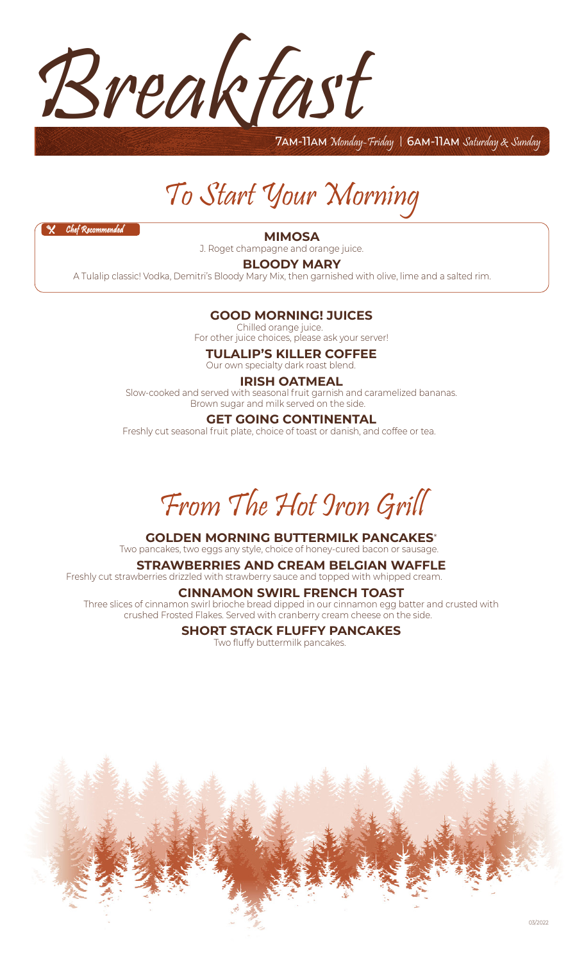

7am-11am Monday-Friday | 6am-11am Saturday & Sunday

# To Start Your Morning

 $X$  Chef Reco

**MIMOSA**

J. Roget champagne and orange juice. **7.50**

**BLOODY MARY**

A Tulalip classic! Vodka, Demitri's Bloody Mary Mix, then garnished with olive, lime and a salted rim. **7.25**

#### **GOOD MORNING! JUICES**

Chilled orange juice. **3.00** For other juice choices, please ask your server!

**TULALIP'S KILLER COFFEE**

Our own specialty dark roast blend. **3.00**

#### **IRISH OATMEAL**

Slow-cooked and served with seasonal fruit garnish and caramelized bananas. Brown sugar and milk served on the side.

#### **GET GOING CONTINENTAL**

Freshly cut seasonal fruit plate, choice of toast or danish, and coffee or tea.



#### **GOLDEN MORNING BUTTERMILK PANCAKES**\*

Two pancakes, two eggs any style, choice of honey-cured bacon or sausage.

**STRAWBERRIES AND CREAM BELGIAN WAFFLE** Freshly cut strawberries drizzled with strawberry sauce and topped with whipped cream.

#### **CINNAMON SWIRL FRENCH TOAST**

Three slices of cinnamon swirl brioche bread dipped in our cinnamon egg batter and crusted with crushed Frosted Flakes. Served with cranberry cream cheese on the side. **12.00**

### **SHORT STACK FLUFFY PANCAKES**

Two fluffy buttermilk pancakes. **9.50**